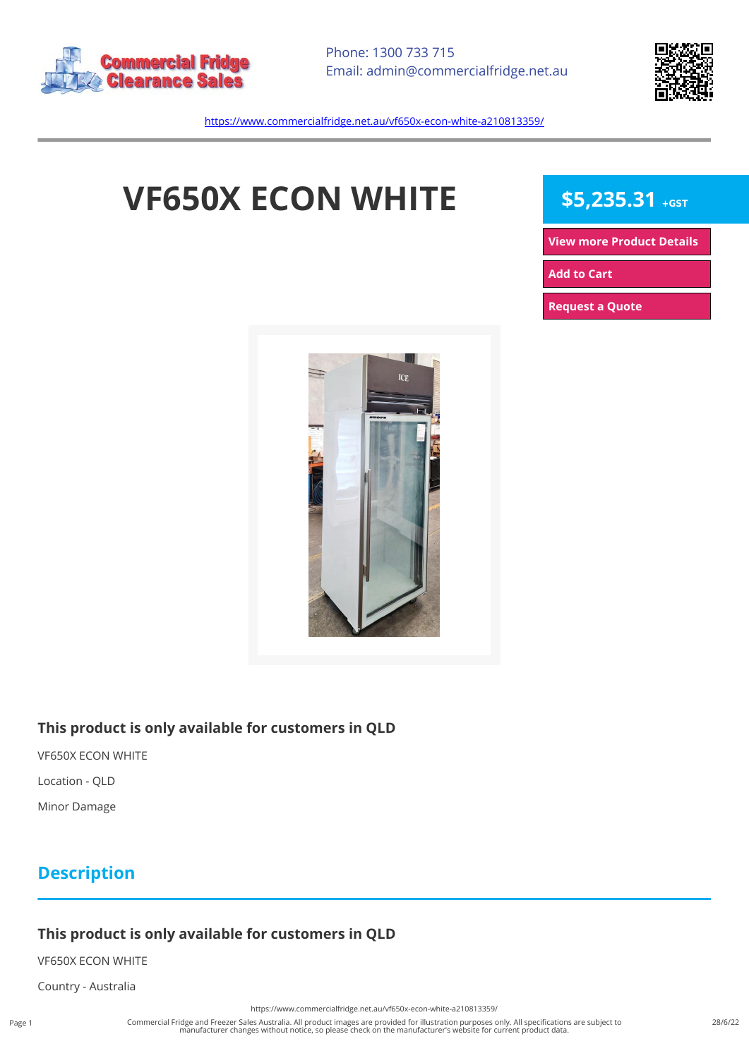



<https://www.commercialfridge.net.au/vf650x-econ-white-a210813359/>

# **VF650X ECON WHITE** \$5,235.31 +GST

**[View more Product Details](https://www.commercialfridge.net.au/vf650x-econ-white-a210813359/)**

**[Add to Cart](https://www.commercialfridge.net.au/vf650x-econ-white-a210813359/?addtocart=1)** 

**[Request a Quote](https://www.commercialfridge.net.au/vf650x-econ-white-a210813359/?requestaquote=1)** 



#### **This product is only available for customers in QLD**

VF650X ECON WHITE

Location - QLD

Minor Damage

### **Description**

#### **This product is only available for customers in QLD**

VF650X ECON WHITE

Country - Australia